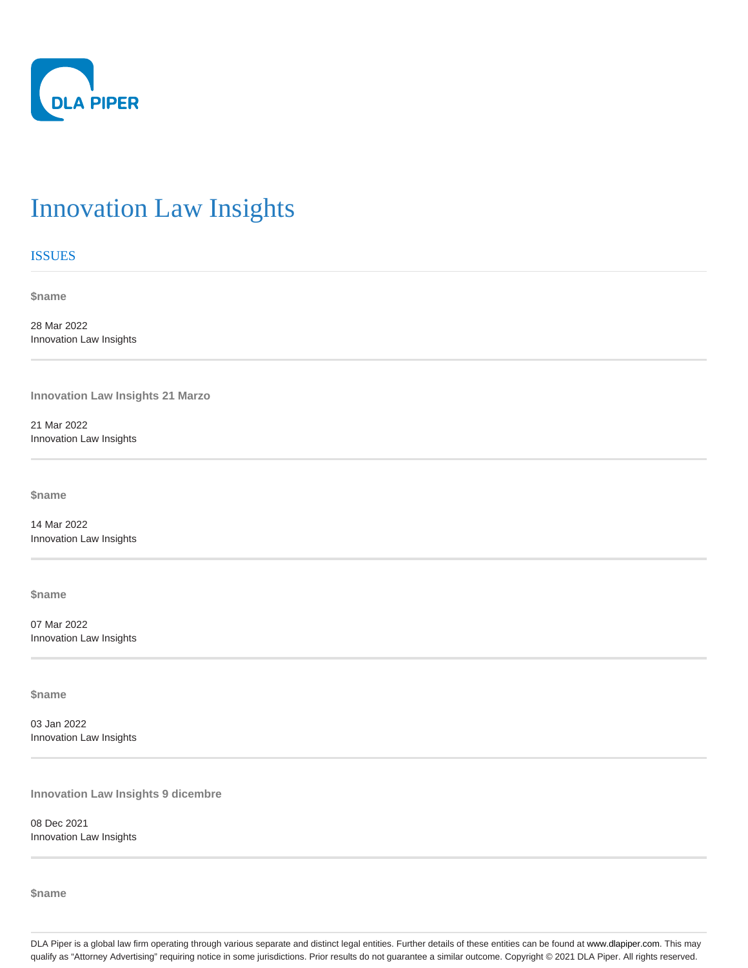

## Innovation Law Insights

## ISSUES

**\$name**

28 Mar 2022 Innovation Law Insights

**Innovation Law Insights 21 Marzo**

21 Mar 2022 Innovation Law Insights

**\$name**

14 Mar 2022 Innovation Law Insights

**\$name**

07 Mar 2022 Innovation Law Insights

**\$name**

03 Jan 2022 Innovation Law Insights

**Innovation Law Insights 9 dicembre**

08 Dec 2021 Innovation Law Insights

**\$name**

DLA Piper is a global law firm operating through various separate and distinct legal entities. Further details of these entities can be found at www.dlapiper.com. This may qualify as "Attorney Advertising" requiring notice in some jurisdictions. Prior results do not guarantee a similar outcome. Copyright @ 2021 DLA Piper. All rights reserved.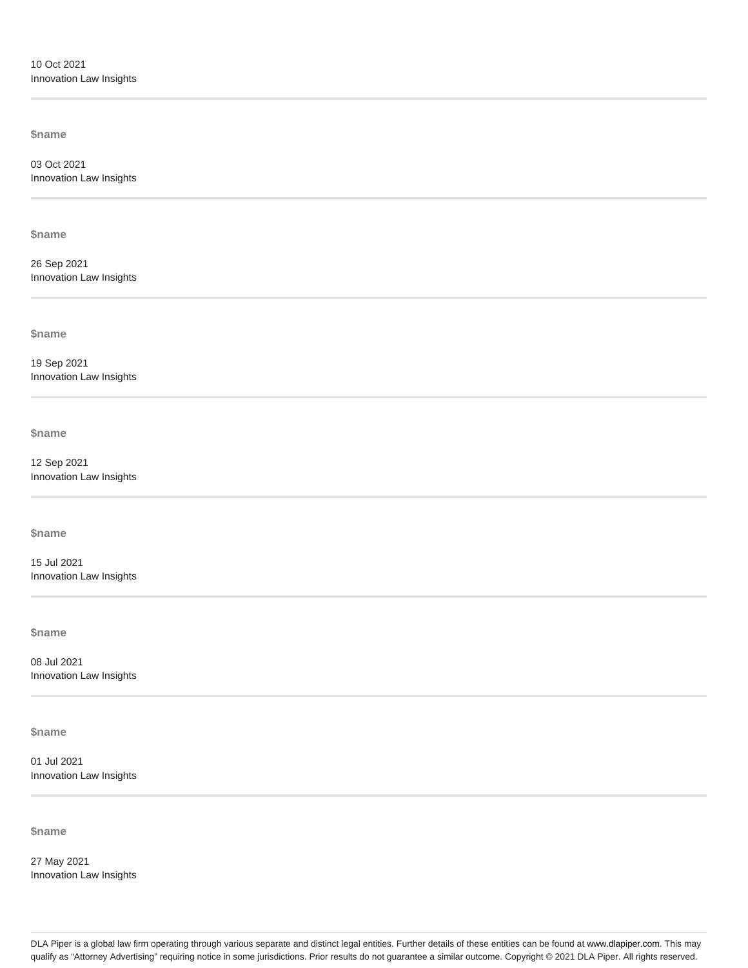**\$name**

03 Oct 2021 Innovation Law Insights

**\$name**

26 Sep 2021 Innovation Law Insights

**\$name**

19 Sep 2021 Innovation Law Insights

**\$name**

12 Sep 2021 Innovation Law Insights

**\$name**

15 Jul 2021 Innovation Law Insights

**\$name**

08 Jul 2021 Innovation Law Insights

**\$name**

01 Jul 2021 Innovation Law Insights

**\$name**

27 May 2021 Innovation Law Insights

DLA Piper is a global law firm operating through various separate and distinct legal entities. Further details of these entities can be found at www.dlapiper.com. This may qualify as "Attorney Advertising" requiring notice in some jurisdictions. Prior results do not guarantee a similar outcome. Copyright @ 2021 DLA Piper. All rights reserved.